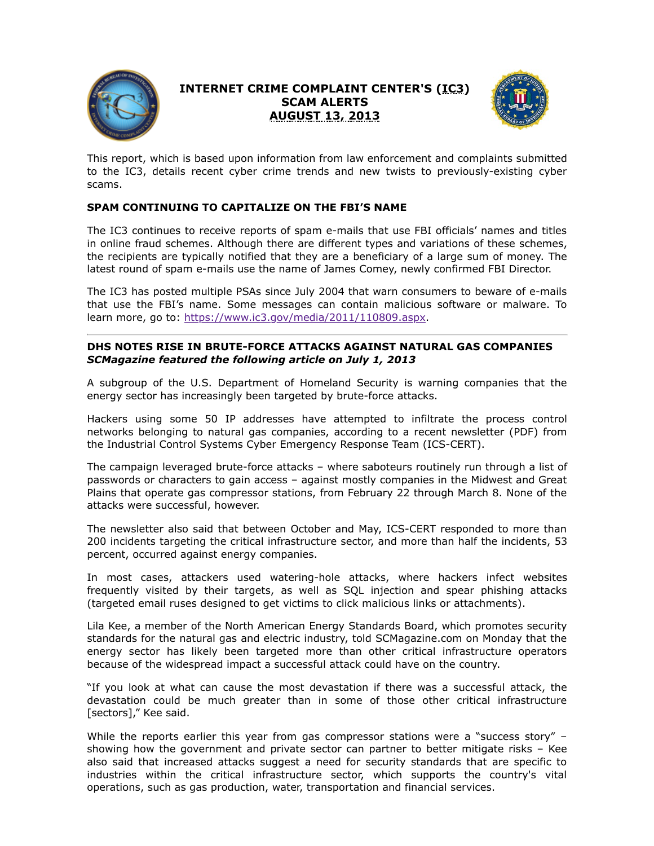

# **INTERNET CRIME COMPLAINT CENTER'S (IC3) SCAM ALERTS AUGUST 13, 2013**



This report, which is based upon information from law enforcement and complaints submitted to the IC3, details recent cyber crime trends and new twists to previously-existing cyber scams.

# **SPAM CONTINUING TO CAPITALIZE ON THE FBI'S NAME**

The IC3 continues to receive reports of spam e-mails that use FBI officials' names and titles in online fraud schemes. Although there are different types and variations of these schemes, the recipients are typically notified that they are a beneficiary of a large sum of money. The latest round of spam e-mails use the name of James Comey, newly confirmed FBI Director.

The IC3 has posted multiple PSAs since July 2004 that warn consumers to beware of e-mails that use the FBI's name. Some messages can contain malicious software or malware. To learn more, go to: [https://www.ic3.gov/media/2011/110809.aspx.](https://www.ic3.gov/media/2011/110809.aspx)

# **DHS NOTES RISE IN BRUTE-FORCE ATTACKS AGAINST NATURAL GAS COMPANIES** *SCMagazine featured the following article on July 1, 2013*

A subgroup of the U.S. Department of Homeland Security is warning companies that the energy sector has increasingly been targeted by brute-force attacks.

Hackers using some 50 IP addresses have attempted to infiltrate the process control networks belonging to natural gas companies, according to a recent newsletter (PDF) from the Industrial Control Systems Cyber Emergency Response Team (ICS-CERT).

The campaign leveraged brute-force attacks – where saboteurs routinely run through a list of passwords or characters to gain access – against mostly companies in the Midwest and Great Plains that operate gas compressor stations, from February 22 through March 8. None of the attacks were successful, however.

The newsletter also said that between October and May, ICS-CERT responded to more than 200 incidents targeting the critical infrastructure sector, and more than half the incidents, 53 percent, occurred against energy companies.

In most cases, attackers used watering-hole attacks, where hackers infect websites frequently visited by their targets, as well as SQL injection and spear phishing attacks (targeted email ruses designed to get victims to click malicious links or attachments).

Lila Kee, a member of the North American Energy Standards Board, which promotes security standards for the natural gas and electric industry, told SCMagazine.com on Monday that the energy sector has likely been targeted more than other critical infrastructure operators because of the widespread impact a successful attack could have on the country.

"If you look at what can cause the most devastation if there was a successful attack, the devastation could be much greater than in some of those other critical infrastructure [sectors]," Kee said.

While the reports earlier this year from gas compressor stations were a "success story" showing how the government and private sector can partner to better mitigate risks – Kee also said that increased attacks suggest a need for security standards that are specific to industries within the critical infrastructure sector, which supports the country's vital operations, such as gas production, water, transportation and financial services.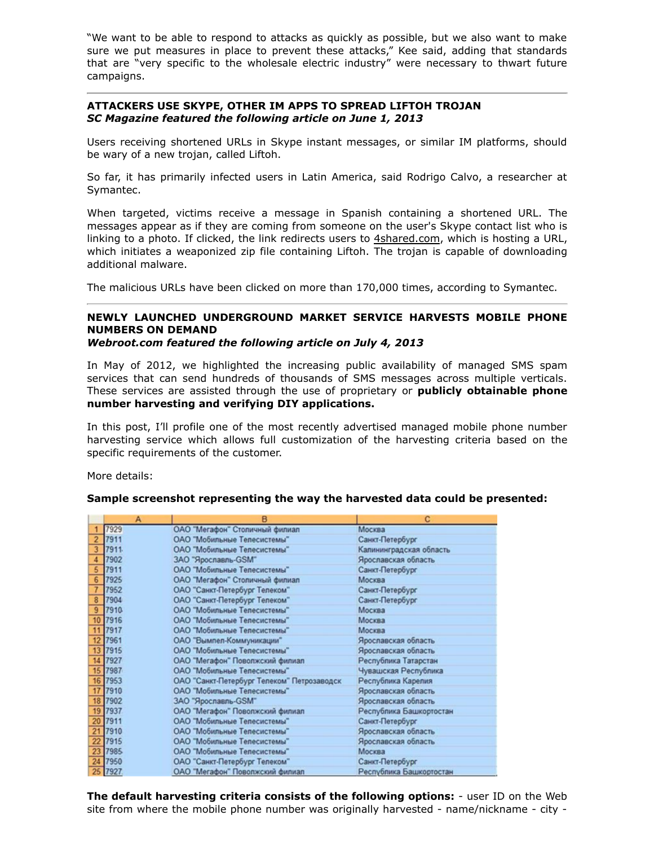"We want to be able to respond to attacks as quickly as possible, but we also want to make sure we put measures in place to prevent these attacks," Kee said, adding that standards that are "very specific to the wholesale electric industry" were necessary to thwart future campaigns.

## **ATTACKERS USE SKYPE, OTHER IM APPS TO SPREAD LIFTOH TROJAN** *SC Magazine featured the following article on June 1, 2013*

Users receiving shortened URLs in Skype instant messages, or similar IM platforms, should be wary of a new trojan, called Liftoh.

So far, it has primarily infected users in Latin America, said Rodrigo Calvo, a researcher at Symantec.

When targeted, victims receive a message in Spanish containing a shortened URL. The messages appear as if they are coming from someone on the user's Skype contact list who is linking to a photo. If clicked, the link redirects users to 4shared.com, which is hosting a URL, which initiates a weaponized zip file containing Liftoh. The trojan is capable of downloading additional malware.

The malicious URLs have been clicked on more than 170,000 times, according to Symantec.

#### **NEWLY LAUNCHED UNDERGROUND MARKET SERVICE HARVESTS MOBILE PHONE NUMBERS ON DEMAND** *Webroot.com featured the following article on July 4, 2013*

In May of 2012, we highlighted the increasing public availability of managed SMS spam services that can send hundreds of thousands of SMS messages across multiple verticals. These services are assisted through the use of proprietary or **publicly obtainable phone number harvesting and verifying DIY applications.**

In this post, I'll profile one of the most recently advertised managed mobile phone number harvesting service which allows full customization of the harvesting criteria based on the specific requirements of the customer.

More details:

#### **Sample screenshot representing the way the harvested data could be presented:**

|                | B<br>А  |                                            |                         |  |
|----------------|---------|--------------------------------------------|-------------------------|--|
|                | 7929    | ОАО "Мегафон" Столичный филиал             | Москва                  |  |
| $\overline{2}$ | 7911    | ОАО "Мобильные Телесистемы"                | Санкт-Петербург         |  |
| 3              | 7911    | ОАО "Мобильные Телесистемы"                | Калининградская область |  |
| 4              | 7902    | ЗАО "Ярославль-GSM"                        | Ярославская область     |  |
| 5              | 7911    | ОАО "Мобильные Телесистемы"                | Санкт-Петербург         |  |
| 6              | 7925    | ОАО "Мегафон" Столичный филиал             | Москва                  |  |
| 7              | 7952    | ОАО "Санкт-Петербург Телеком"              | Санкт-Петербург         |  |
| 8              | 7904    | ОАО "Санкт-Петербург Телеком"              | Санкт-Петербург         |  |
| 9              | 7910    | ОАО "Мобильные Телесистемы"                | Москва                  |  |
|                | 10 7916 | ОАО "Мобильные Телесистемы"                | Москва                  |  |
|                | 11 7917 | ОАО "Мобильные Телесистемы"                | Москва                  |  |
|                | 12 7961 | ОАО "Вымпел-Коммуникации"                  | Ярославская область     |  |
|                | 13 7915 | ОАО "Мобильные Телесистемы"                | Ярославская область     |  |
|                | 14 7927 | ОАО "Мегафон" Поволжский филиал            | Республика Татарстан    |  |
|                | 15 7987 | ОАО "Мобильные Телесистемы"                | Чувашская Республика    |  |
|                | 16 7953 | ОАО "Санкт-Петербург Телеком" Петрозаводск | Республика Карелия      |  |
|                | 17 7910 | ОАО "Мобильные Телесистемы"                | Ярославская область     |  |
|                | 18 7902 | ЗАО "Ярославль-GSM"                        | Ярославская область     |  |
|                | 19 7937 | ОАО "Мегафон" Поволжский филиал            | Республика Башкортостан |  |
|                | 20 7911 | ОАО "Мобильные Телесистемы"                | Санкт-Петербург         |  |
|                | 21 7910 | ОАО "Мобильные Телесистемы"                | Ярославская область     |  |
|                | 22 7915 | ОАО "Мобильные Телесистемы"                | Ярославская область     |  |
|                | 23 7985 | ОАО "Мобильные Телесистемы"                | Москва                  |  |
|                | 24 7950 | ОАО "Санкт-Петербург Телеком"              | Санкт-Петербург         |  |
|                | 25 7927 | ОАО "Мегафон" Поволжский филиал            | Республика Башкортостан |  |

**The default harvesting criteria consists of the following options:** - user ID on the Web site from where the mobile phone number was originally harvested - name/nickname - city -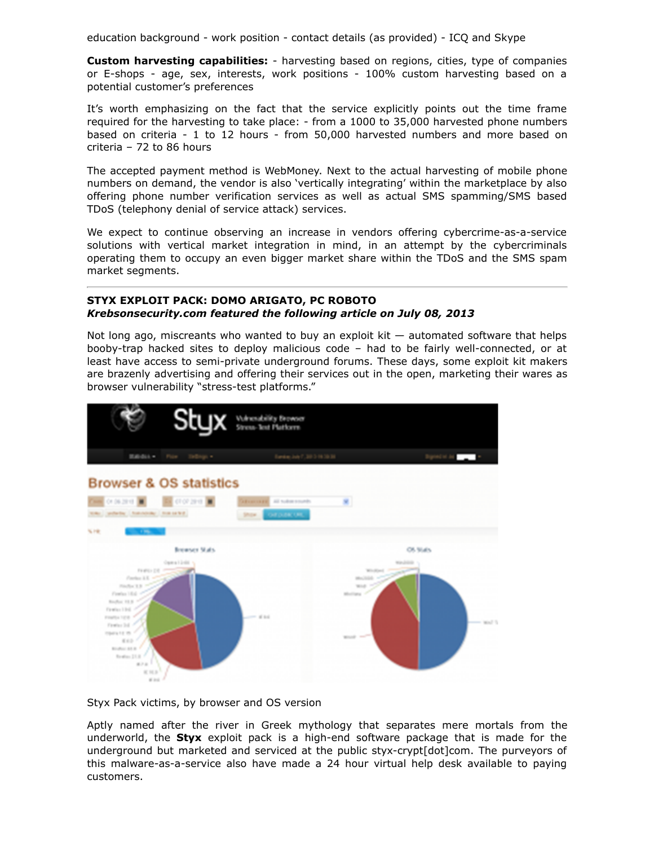education background - work position - contact details (as provided) - ICQ and Skype

**Custom harvesting capabilities:** - harvesting based on regions, cities, type of companies or E-shops - age, sex, interests, work positions - 100% custom harvesting based on a potential customer's preferences

It's worth emphasizing on the fact that the service explicitly points out the time frame required for the harvesting to take place: - from a 1000 to 35,000 harvested phone numbers based on criteria - 1 to 12 hours - from 50,000 harvested numbers and more based on criteria – 72 to 86 hours

The accepted payment method is WebMoney. Next to the actual harvesting of mobile phone numbers on demand, the vendor is also 'vertically integrating' within the marketplace by also offering phone number verification services as well as actual SMS spamming/SMS based TDoS (telephony denial of service attack) services.

We expect to continue observing an increase in vendors offering cybercrime-as-a-service solutions with vertical market integration in mind, in an attempt by the cybercriminals operating them to occupy an even bigger market share within the TDoS and the SMS spam market segments.

## **STYX EXPLOIT PACK: DOMO ARIGATO, PC ROBOTO** *Krebsonsecurity.com featured the following article on July 08, 2013*

Not long ago, miscreants who wanted to buy an exploit kit  $-$  automated software that helps booby-trap hacked sites to deploy malicious code – had to be fairly well-connected, or at least have access to semi-private underground forums. These days, some exploit kit makers are brazenly advertising and offering their services out in the open, marketing their wares as browser vulnerability "stress-test platforms."



Styx Pack victims, by browser and OS version

Aptly named after the river in Greek mythology that separates mere mortals from the underworld, the **Styx** exploit pack is a high-end software package that is made for the underground but marketed and serviced at the public styx-crypt[dot]com. The purveyors of this malware-as-a-service also have made a 24 hour virtual help desk available to paying customers.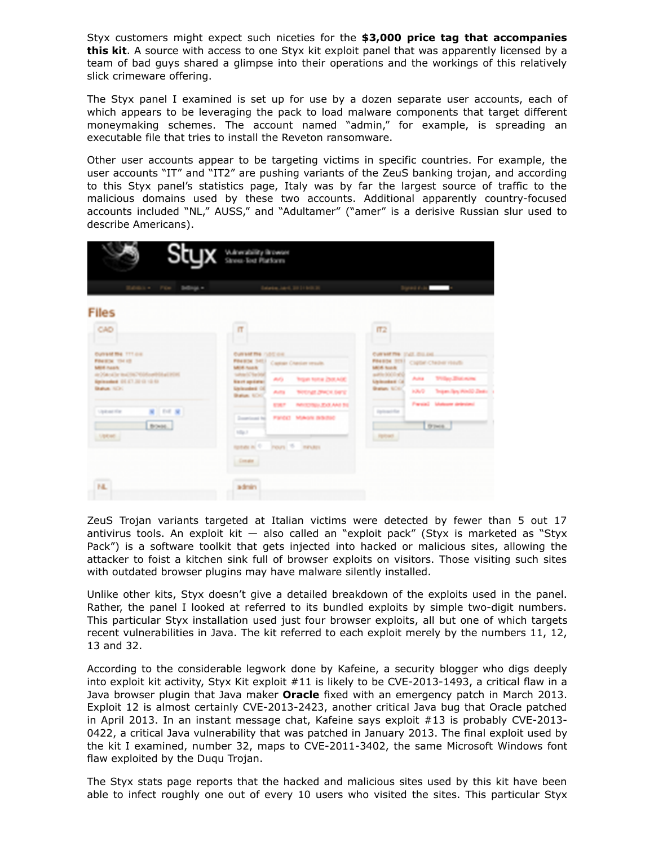Styx customers might expect such niceties for the **\$3,000 price tag that accompanies this kit**. A source with access to one Styx kit exploit panel that was apparently licensed by a team of bad guys shared a glimpse into their operations and the workings of this relatively slick crimeware offering.

The Styx panel I examined is set up for use by a dozen separate user accounts, each of which appears to be leveraging the pack to load malware components that target different moneymaking schemes. The account named "admin," for example, is spreading an executable file that tries to install the Reveton ransomware.

Other user accounts appear to be targeting victims in specific countries. For example, the user accounts "IT" and "IT2" are pushing variants of the ZeuS banking trojan, and according to this Styx panel's statistics page, Italy was by far the largest source of traffic to the malicious domains used by these two accounts. Additional apparently country-focused accounts included "NL," AUSS," and "Adultamer" ("amer" is a derisive Russian slur used to describe Americans).

| <b>Styx</b> Waterstold Platform                                                                                                                                                                                                    |                                                                                                                                                                        |                                                                                                                                                                                                                     |                                                                                                                                                   |                                                                                                                                                    |  |  |  |  |
|------------------------------------------------------------------------------------------------------------------------------------------------------------------------------------------------------------------------------------|------------------------------------------------------------------------------------------------------------------------------------------------------------------------|---------------------------------------------------------------------------------------------------------------------------------------------------------------------------------------------------------------------|---------------------------------------------------------------------------------------------------------------------------------------------------|----------------------------------------------------------------------------------------------------------------------------------------------------|--|--|--|--|
| Editors Fox: Billings                                                                                                                                                                                                              |                                                                                                                                                                        | Estates, Jan 4, 2011 6:013                                                                                                                                                                                          |                                                                                                                                                   | Topact (CA)                                                                                                                                        |  |  |  |  |
| <b>Files</b><br>CAD                                                                                                                                                                                                                | $\mathbf{r}$                                                                                                                                                           |                                                                                                                                                                                                                     |                                                                                                                                                   |                                                                                                                                                    |  |  |  |  |
| <b>Outrast the TTT cre</b><br><b>FOARDE THIS</b><br>Mild Assis<br>de Matrid le lind (1674) Month Mad 1970.<br>Kipillowskied, OS 47,332 (3 13) 631<br><b>Bulue</b> NOC<br><b>第</b> 100 单<br><b>Updated</b><br>Boss.<br><b>Vacao</b> | Cultural The 750C cm<br><b>MILA RIAN</b><br>talked Chadrol<br><b>Bast spieler</b><br><b>University Of</b><br>Balan, 6040<br>Department for<br>$1/2$ and $3$<br>Condit. | <b>PRESIDE SAT.</b> Capital Chester strucks<br>dist is<br>Tropin Nortal ZNR AGE<br>Auto<br><b><i>SHOULDWOLDED</i></b><br><b>NECONS EXEANS TO</b><br><b>ROMAN</b><br>FIRST MAIN BROOK<br>rusacal C Pours To Ininutes | $\pi$<br>CURSIETTE (CAS. DILLIN).<br><b>MIA NAK</b><br>auto 500 ml<br><b>Uplember Cd</b><br>Brattan, NOA1<br><b>TipOcaci Rat</b><br><b>Income</b> | PRESS STEE CUSH Cheese roads<br><b><i>Prilay Entrance</i></b><br>Auto<br>3069<br>Tropies, Spry World Ziesto<br>Preside Mateure detected<br>D'INCO. |  |  |  |  |
| NL                                                                                                                                                                                                                                 | admin                                                                                                                                                                  |                                                                                                                                                                                                                     |                                                                                                                                                   |                                                                                                                                                    |  |  |  |  |

ZeuS Trojan variants targeted at Italian victims were detected by fewer than 5 out 17 antivirus tools. An exploit kit — also called an "exploit pack" (Styx is marketed as "Styx Pack") is a software toolkit that gets injected into hacked or malicious sites, allowing the attacker to foist a kitchen sink full of browser exploits on visitors. Those visiting such sites with outdated browser plugins may have malware silently installed.

Unlike other kits, Styx doesn't give a detailed breakdown of the exploits used in the panel. Rather, the panel I looked at referred to its bundled exploits by simple two-digit numbers. This particular Styx installation used just four browser exploits, all but one of which targets recent vulnerabilities in Java. The kit referred to each exploit merely by the numbers 11, 12, 13 and 32.

According to the considerable legwork done by Kafeine, a security blogger who digs deeply into exploit kit activity, Styx Kit exploit #11 is likely to be CVE-2013-1493, a critical flaw in a Java browser plugin that Java maker **Oracle** fixed with an emergency patch in March 2013. Exploit 12 is almost certainly CVE-2013-2423, another critical Java bug that Oracle patched in April 2013. In an instant message chat, Kafeine says exploit #13 is probably CVE-2013- 0422, a critical Java vulnerability that was patched in January 2013. The final exploit used by the kit I examined, number 32, maps to CVE-2011-3402, the same Microsoft Windows font flaw exploited by the Duqu Trojan.

The Styx stats page reports that the hacked and malicious sites used by this kit have been able to infect roughly one out of every 10 users who visited the sites. This particular Styx